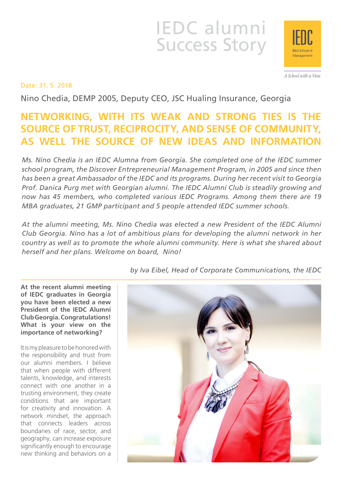# IEDC alumni Success Story



A School with a View

# Date: 31. 5. 2018

Nino Chedia, DEMP 2005, Deputy CEO, JSC Hualing Insurance, Georgia

# **NETWORKING, WITH ITS WEAK AND STRONG TIES IS THE SOURCE OF TRUST, RECIPROCITY, AND SENSE OF COMMUNITY, AS WELL THE SOURCE OF NEW IDEAS AND INFORMATION**

*Ms. Nino Chedia is an IEDC Alumna from Georgia. She completed one of the IEDC summer school program, the Discover Entrepreneurial Management Program, in 2005 and since then has been a great Ambassador of the IEDC and its programs. During her recent visit to Georgia Prof. Danica Purg met with Georgian alumni. The IEDC Alumni Club is steadily growing and now has 45 members, who completed various IEDC Programs. Among them there are 19 MBA graduates, 21 GMP participant and 5 people attended IEDC summer schools.*

*At the alumni meeting, Ms. Nino Chedia was elected a new President of the IEDC Alumni Club Georgia. Nino has a lot of ambitious plans for developing the alumni network in her country as well as to promote the whole alumni community. Here is what she shared about herself and her plans. Welcome on board, Nino!*

**At the recent alumni meeting of IEDC graduates in Georgia you have been elected a new President of the IEDC Alumni Club Georgia. Congratulations! What is your view on the importance of networking?**

It is my pleasure to be honored with the responsibility and trust from our alumni members. I believe that when people with different talents, knowledge, and interests connect with one another in a trusting environment, they create conditions that are important for creativity and innovation. A network mindset, the approach that connects leaders across boundaries of race, sector, and geography, can increase exposure significantly enough to encourage new thinking and behaviors on a

*by Iva Eibel, Head of Corporate Communications, the IEDC*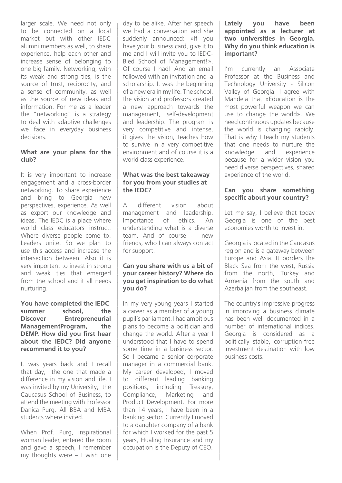larger scale. We need not only to be connected on a local market but with other IEDC alumni members as well, to share experience, help each other and increase sense of belonging to one big family. Networking, with its weak and strong ties, is the source of trust, reciprocity, and a sense of community, as well as the source of new ideas and information. For me as a leader the "networking" is a strategy to deal with adaptive challenges we face in everyday business decisions.

#### **What are your plans for the club?**

It is very important to increase engagement and a cross-border networking. To share experience and bring to Georgia new perspectives, experience. As well as export our knowledge and ideas. The IEDC is a place where world class educators instruct. Where diverse people come to. Leaders unite. So we plan to use this access and increase the intersection between. Also it is very important to invest in strong and weak ties that emerged from the school and it all needs nurturing.

#### **You have completed the IEDC summer school, the Discover Entrepreneurial ManagementProgram, the DEMP. How did you first hear about the IEDC? Did anyone recommend it to you?**

It was years back and I recall that day, the one that made a difference in my vision and life. I was invited by my University, the Caucasus School of Business, to attend the meeting with Professor Danica Purg. All BBA and MBA students where invited.

When Prof. Purg, inspirational woman leader, entered the room and gave a speech, I remember my thoughts were – I wish one day to be alike. After her speech we had a conversation and she suddenly announced: »If you have your business card, give it to me and I will invite you to IEDC-Bled School of Management!». Of course I had! And an email followed with an invitation and a scholarship. It was the beginning of a new era in my life. The school, the vision and professors created a new approach towards the management, self-development and leadership. The program is very competitive and intense, it gives the vision, teaches how to survive in a very competitive environment and of course it is a world class experience.

# **What was the best takeaway for you from your studies at the IEDC?**

A different vision about management and leadership. Importance of ethics. An understanding what is a diverse team. And of course - new friends, who I can always contact for support.

### **Can you share with us a bit of your career history? Where do you get inspiration to do what you do?**

In my very young years I started a career as a member of a young pupil's parliament. I had ambitious plans to become a politician and change the world. After a year I understood that I have to spend some time in a business sector. So I became a senior corporate manager in a commercial bank. My career developed, I moved to different leading banking positions, including Treasury, Compliance, Marketing and Product Development. For more than 14 years, I have been in a banking sector. Currently I moved to a daughter company of a bank for which I worked for the past 5 years, Hualing Insurance and my occupation is the Deputy of CEO.

#### **Lately you have been appointed as a lecturer at two universities in Georgia. Why do you think education is important?**

I'm currently an Associate Professor at the Business and Technology University - Silicon Valley of Georgia. I agree with Mandela that »Education is the most powerful weapon we can use to change the world». We need continuous updates because the world is changing rapidly. That is why I teach my students that one needs to nurture the knowledge and experience because for a wider vision you need diverse perspectives, shared experience of the world.

# **Can you share something specific about your country?**

Let me say, I believe that today Georgia is one of the best economies worth to invest in.

Georgia is located in the Caucasus region and is a gateway between Europe and Asia. It borders the Black Sea from the west, Russia from the north, Turkey and Armenia from the south and Azerbaijan from the southeast.

The country's impressive progress in improving a business climate has been well documented in a number of international indices. Georgia is considered as a politically stable, corruption-free investment destination with low business costs.